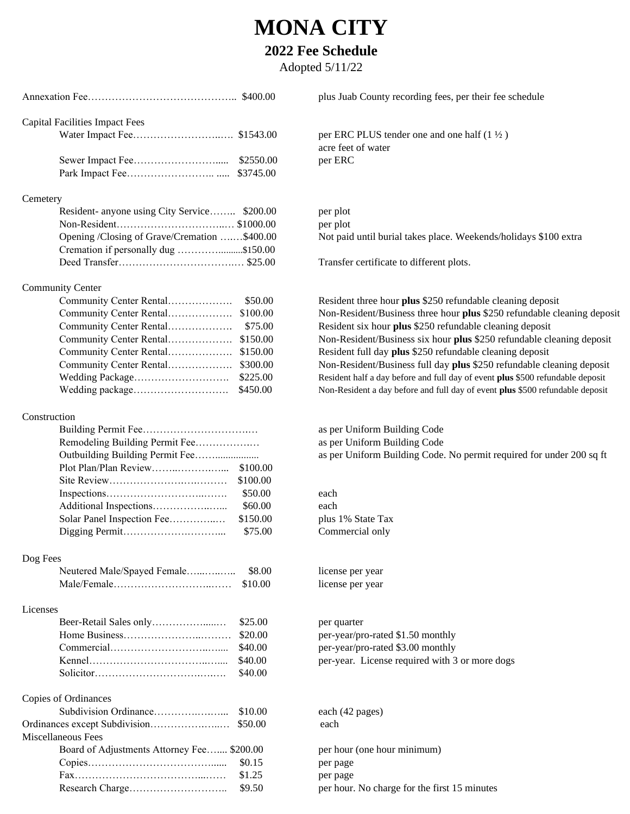## **MONA CITY**

## **2022 Fee Schedule**

Adopted 5/11/22

| <b>Capital Facilities Impact Fees</b><br>per ERC PLUS tender one and one half $(1 \frac{1}{2})$<br>acre feet of water<br>per ERC<br>\$3745.00<br>Cemetery<br>Resident- anyone using City Service \$200.00<br>per plot<br>per plot<br>Opening /Closing of Grave/Cremation \$400.00<br>Not paid until burial takes place. Weekends/holidays \$<br>Transfer certificate to different plots.<br><b>Community Center</b><br>Community Center Rental<br>\$50.00<br>Community Center Rental<br>\$100.00<br>Community Center Rental<br>\$75.00<br>Community Center Rental<br>\$150.00<br>Community Center Rental<br>\$300.00<br>Wedding Package<br>\$225.00<br>Wedding package<br>\$450.00<br>as per Uniform Building Code<br>Remodeling Building Permit Fee<br>as per Uniform Building Code<br>Outbuilding Building Permit Fee<br>as per Uniform Building Code. No permit required for<br>Plot Plan/Plan Review<br>\$100.00<br>\$100.00<br>\$50.00<br>each<br>Additional Inspections<br>\$60.00<br>each<br>Solar Panel Inspection Fee<br>\$150.00<br>plus 1% State Tax<br>\$75.00<br>Commercial only<br>Dog Fees<br>Neutered Male/Spayed Female<br>\$8.00<br>license per year<br>\$10.00<br>license per year<br>\$25.00<br>per quarter<br>\$20.00<br>per-year/pro-rated \$1.50 monthly<br>per-year/pro-rated \$3.00 monthly<br>\$40.00<br>per-year. License required with 3 or more dogs<br>\$40.00<br>\$40.00<br>Copies of Ordinances<br>\$10.00<br>each (42 pages)<br>Ordinances except Subdivision<br>\$50.00<br>each<br>Miscellaneous Fees<br>Board of Adjustments Attorney Fee \$200.00<br>per hour (one hour minimum)<br>\$0.15<br>per page<br>\$1.25<br>per page<br>\$9.50<br>per hour. No charge for the first 15 minutes |              | plus Juab County recording fees, per their fee schedule         |
|----------------------------------------------------------------------------------------------------------------------------------------------------------------------------------------------------------------------------------------------------------------------------------------------------------------------------------------------------------------------------------------------------------------------------------------------------------------------------------------------------------------------------------------------------------------------------------------------------------------------------------------------------------------------------------------------------------------------------------------------------------------------------------------------------------------------------------------------------------------------------------------------------------------------------------------------------------------------------------------------------------------------------------------------------------------------------------------------------------------------------------------------------------------------------------------------------------------------------------------------------------------------------------------------------------------------------------------------------------------------------------------------------------------------------------------------------------------------------------------------------------------------------------------------------------------------------------------------------------------------------------------------------------------------------------------------------------------------------|--------------|-----------------------------------------------------------------|
|                                                                                                                                                                                                                                                                                                                                                                                                                                                                                                                                                                                                                                                                                                                                                                                                                                                                                                                                                                                                                                                                                                                                                                                                                                                                                                                                                                                                                                                                                                                                                                                                                                                                                                                            |              |                                                                 |
|                                                                                                                                                                                                                                                                                                                                                                                                                                                                                                                                                                                                                                                                                                                                                                                                                                                                                                                                                                                                                                                                                                                                                                                                                                                                                                                                                                                                                                                                                                                                                                                                                                                                                                                            |              |                                                                 |
|                                                                                                                                                                                                                                                                                                                                                                                                                                                                                                                                                                                                                                                                                                                                                                                                                                                                                                                                                                                                                                                                                                                                                                                                                                                                                                                                                                                                                                                                                                                                                                                                                                                                                                                            |              |                                                                 |
|                                                                                                                                                                                                                                                                                                                                                                                                                                                                                                                                                                                                                                                                                                                                                                                                                                                                                                                                                                                                                                                                                                                                                                                                                                                                                                                                                                                                                                                                                                                                                                                                                                                                                                                            |              |                                                                 |
|                                                                                                                                                                                                                                                                                                                                                                                                                                                                                                                                                                                                                                                                                                                                                                                                                                                                                                                                                                                                                                                                                                                                                                                                                                                                                                                                                                                                                                                                                                                                                                                                                                                                                                                            |              |                                                                 |
|                                                                                                                                                                                                                                                                                                                                                                                                                                                                                                                                                                                                                                                                                                                                                                                                                                                                                                                                                                                                                                                                                                                                                                                                                                                                                                                                                                                                                                                                                                                                                                                                                                                                                                                            |              |                                                                 |
|                                                                                                                                                                                                                                                                                                                                                                                                                                                                                                                                                                                                                                                                                                                                                                                                                                                                                                                                                                                                                                                                                                                                                                                                                                                                                                                                                                                                                                                                                                                                                                                                                                                                                                                            |              |                                                                 |
|                                                                                                                                                                                                                                                                                                                                                                                                                                                                                                                                                                                                                                                                                                                                                                                                                                                                                                                                                                                                                                                                                                                                                                                                                                                                                                                                                                                                                                                                                                                                                                                                                                                                                                                            |              |                                                                 |
|                                                                                                                                                                                                                                                                                                                                                                                                                                                                                                                                                                                                                                                                                                                                                                                                                                                                                                                                                                                                                                                                                                                                                                                                                                                                                                                                                                                                                                                                                                                                                                                                                                                                                                                            |              |                                                                 |
|                                                                                                                                                                                                                                                                                                                                                                                                                                                                                                                                                                                                                                                                                                                                                                                                                                                                                                                                                                                                                                                                                                                                                                                                                                                                                                                                                                                                                                                                                                                                                                                                                                                                                                                            |              |                                                                 |
|                                                                                                                                                                                                                                                                                                                                                                                                                                                                                                                                                                                                                                                                                                                                                                                                                                                                                                                                                                                                                                                                                                                                                                                                                                                                                                                                                                                                                                                                                                                                                                                                                                                                                                                            |              |                                                                 |
|                                                                                                                                                                                                                                                                                                                                                                                                                                                                                                                                                                                                                                                                                                                                                                                                                                                                                                                                                                                                                                                                                                                                                                                                                                                                                                                                                                                                                                                                                                                                                                                                                                                                                                                            |              | Resident three hour plus \$250 refundable cleaning dep          |
|                                                                                                                                                                                                                                                                                                                                                                                                                                                                                                                                                                                                                                                                                                                                                                                                                                                                                                                                                                                                                                                                                                                                                                                                                                                                                                                                                                                                                                                                                                                                                                                                                                                                                                                            |              | Non-Resident/Business three hour plus \$250 refundabl           |
|                                                                                                                                                                                                                                                                                                                                                                                                                                                                                                                                                                                                                                                                                                                                                                                                                                                                                                                                                                                                                                                                                                                                                                                                                                                                                                                                                                                                                                                                                                                                                                                                                                                                                                                            |              | Resident six hour plus \$250 refundable cleaning depos          |
|                                                                                                                                                                                                                                                                                                                                                                                                                                                                                                                                                                                                                                                                                                                                                                                                                                                                                                                                                                                                                                                                                                                                                                                                                                                                                                                                                                                                                                                                                                                                                                                                                                                                                                                            |              | Non-Resident/Business six hour plus \$250 refundable            |
|                                                                                                                                                                                                                                                                                                                                                                                                                                                                                                                                                                                                                                                                                                                                                                                                                                                                                                                                                                                                                                                                                                                                                                                                                                                                                                                                                                                                                                                                                                                                                                                                                                                                                                                            |              | Resident full day plus \$250 refundable cleaning deposi         |
|                                                                                                                                                                                                                                                                                                                                                                                                                                                                                                                                                                                                                                                                                                                                                                                                                                                                                                                                                                                                                                                                                                                                                                                                                                                                                                                                                                                                                                                                                                                                                                                                                                                                                                                            |              | Non-Resident/Business full day plus \$250 refundable of         |
|                                                                                                                                                                                                                                                                                                                                                                                                                                                                                                                                                                                                                                                                                                                                                                                                                                                                                                                                                                                                                                                                                                                                                                                                                                                                                                                                                                                                                                                                                                                                                                                                                                                                                                                            |              | Resident half a day before and full day of event plus \$500 rea |
|                                                                                                                                                                                                                                                                                                                                                                                                                                                                                                                                                                                                                                                                                                                                                                                                                                                                                                                                                                                                                                                                                                                                                                                                                                                                                                                                                                                                                                                                                                                                                                                                                                                                                                                            |              | Non-Resident a day before and full day of event plus \$500 re   |
|                                                                                                                                                                                                                                                                                                                                                                                                                                                                                                                                                                                                                                                                                                                                                                                                                                                                                                                                                                                                                                                                                                                                                                                                                                                                                                                                                                                                                                                                                                                                                                                                                                                                                                                            | Construction |                                                                 |
|                                                                                                                                                                                                                                                                                                                                                                                                                                                                                                                                                                                                                                                                                                                                                                                                                                                                                                                                                                                                                                                                                                                                                                                                                                                                                                                                                                                                                                                                                                                                                                                                                                                                                                                            |              |                                                                 |
|                                                                                                                                                                                                                                                                                                                                                                                                                                                                                                                                                                                                                                                                                                                                                                                                                                                                                                                                                                                                                                                                                                                                                                                                                                                                                                                                                                                                                                                                                                                                                                                                                                                                                                                            |              |                                                                 |
|                                                                                                                                                                                                                                                                                                                                                                                                                                                                                                                                                                                                                                                                                                                                                                                                                                                                                                                                                                                                                                                                                                                                                                                                                                                                                                                                                                                                                                                                                                                                                                                                                                                                                                                            |              |                                                                 |
|                                                                                                                                                                                                                                                                                                                                                                                                                                                                                                                                                                                                                                                                                                                                                                                                                                                                                                                                                                                                                                                                                                                                                                                                                                                                                                                                                                                                                                                                                                                                                                                                                                                                                                                            |              |                                                                 |
|                                                                                                                                                                                                                                                                                                                                                                                                                                                                                                                                                                                                                                                                                                                                                                                                                                                                                                                                                                                                                                                                                                                                                                                                                                                                                                                                                                                                                                                                                                                                                                                                                                                                                                                            |              |                                                                 |
|                                                                                                                                                                                                                                                                                                                                                                                                                                                                                                                                                                                                                                                                                                                                                                                                                                                                                                                                                                                                                                                                                                                                                                                                                                                                                                                                                                                                                                                                                                                                                                                                                                                                                                                            |              |                                                                 |
|                                                                                                                                                                                                                                                                                                                                                                                                                                                                                                                                                                                                                                                                                                                                                                                                                                                                                                                                                                                                                                                                                                                                                                                                                                                                                                                                                                                                                                                                                                                                                                                                                                                                                                                            |              |                                                                 |
|                                                                                                                                                                                                                                                                                                                                                                                                                                                                                                                                                                                                                                                                                                                                                                                                                                                                                                                                                                                                                                                                                                                                                                                                                                                                                                                                                                                                                                                                                                                                                                                                                                                                                                                            |              |                                                                 |
|                                                                                                                                                                                                                                                                                                                                                                                                                                                                                                                                                                                                                                                                                                                                                                                                                                                                                                                                                                                                                                                                                                                                                                                                                                                                                                                                                                                                                                                                                                                                                                                                                                                                                                                            |              |                                                                 |
|                                                                                                                                                                                                                                                                                                                                                                                                                                                                                                                                                                                                                                                                                                                                                                                                                                                                                                                                                                                                                                                                                                                                                                                                                                                                                                                                                                                                                                                                                                                                                                                                                                                                                                                            |              |                                                                 |
|                                                                                                                                                                                                                                                                                                                                                                                                                                                                                                                                                                                                                                                                                                                                                                                                                                                                                                                                                                                                                                                                                                                                                                                                                                                                                                                                                                                                                                                                                                                                                                                                                                                                                                                            |              |                                                                 |
|                                                                                                                                                                                                                                                                                                                                                                                                                                                                                                                                                                                                                                                                                                                                                                                                                                                                                                                                                                                                                                                                                                                                                                                                                                                                                                                                                                                                                                                                                                                                                                                                                                                                                                                            |              |                                                                 |
|                                                                                                                                                                                                                                                                                                                                                                                                                                                                                                                                                                                                                                                                                                                                                                                                                                                                                                                                                                                                                                                                                                                                                                                                                                                                                                                                                                                                                                                                                                                                                                                                                                                                                                                            | Licenses     |                                                                 |
|                                                                                                                                                                                                                                                                                                                                                                                                                                                                                                                                                                                                                                                                                                                                                                                                                                                                                                                                                                                                                                                                                                                                                                                                                                                                                                                                                                                                                                                                                                                                                                                                                                                                                                                            |              |                                                                 |
|                                                                                                                                                                                                                                                                                                                                                                                                                                                                                                                                                                                                                                                                                                                                                                                                                                                                                                                                                                                                                                                                                                                                                                                                                                                                                                                                                                                                                                                                                                                                                                                                                                                                                                                            |              |                                                                 |
|                                                                                                                                                                                                                                                                                                                                                                                                                                                                                                                                                                                                                                                                                                                                                                                                                                                                                                                                                                                                                                                                                                                                                                                                                                                                                                                                                                                                                                                                                                                                                                                                                                                                                                                            |              |                                                                 |
|                                                                                                                                                                                                                                                                                                                                                                                                                                                                                                                                                                                                                                                                                                                                                                                                                                                                                                                                                                                                                                                                                                                                                                                                                                                                                                                                                                                                                                                                                                                                                                                                                                                                                                                            |              |                                                                 |
|                                                                                                                                                                                                                                                                                                                                                                                                                                                                                                                                                                                                                                                                                                                                                                                                                                                                                                                                                                                                                                                                                                                                                                                                                                                                                                                                                                                                                                                                                                                                                                                                                                                                                                                            |              |                                                                 |
|                                                                                                                                                                                                                                                                                                                                                                                                                                                                                                                                                                                                                                                                                                                                                                                                                                                                                                                                                                                                                                                                                                                                                                                                                                                                                                                                                                                                                                                                                                                                                                                                                                                                                                                            |              |                                                                 |
|                                                                                                                                                                                                                                                                                                                                                                                                                                                                                                                                                                                                                                                                                                                                                                                                                                                                                                                                                                                                                                                                                                                                                                                                                                                                                                                                                                                                                                                                                                                                                                                                                                                                                                                            |              |                                                                 |
|                                                                                                                                                                                                                                                                                                                                                                                                                                                                                                                                                                                                                                                                                                                                                                                                                                                                                                                                                                                                                                                                                                                                                                                                                                                                                                                                                                                                                                                                                                                                                                                                                                                                                                                            |              |                                                                 |
|                                                                                                                                                                                                                                                                                                                                                                                                                                                                                                                                                                                                                                                                                                                                                                                                                                                                                                                                                                                                                                                                                                                                                                                                                                                                                                                                                                                                                                                                                                                                                                                                                                                                                                                            |              |                                                                 |
|                                                                                                                                                                                                                                                                                                                                                                                                                                                                                                                                                                                                                                                                                                                                                                                                                                                                                                                                                                                                                                                                                                                                                                                                                                                                                                                                                                                                                                                                                                                                                                                                                                                                                                                            |              |                                                                 |
|                                                                                                                                                                                                                                                                                                                                                                                                                                                                                                                                                                                                                                                                                                                                                                                                                                                                                                                                                                                                                                                                                                                                                                                                                                                                                                                                                                                                                                                                                                                                                                                                                                                                                                                            |              |                                                                 |
|                                                                                                                                                                                                                                                                                                                                                                                                                                                                                                                                                                                                                                                                                                                                                                                                                                                                                                                                                                                                                                                                                                                                                                                                                                                                                                                                                                                                                                                                                                                                                                                                                                                                                                                            |              |                                                                 |
|                                                                                                                                                                                                                                                                                                                                                                                                                                                                                                                                                                                                                                                                                                                                                                                                                                                                                                                                                                                                                                                                                                                                                                                                                                                                                                                                                                                                                                                                                                                                                                                                                                                                                                                            |              |                                                                 |

per plot per plot Not paid until burial takes place. Weekends/holidays \$100 extra

Resident three hour **plus** \$250 refundable cleaning deposit Non-Resident/Business three hour plus \$250 refundable cleaning deposit Resident six hour plus \$250 refundable cleaning deposit Non-Resident/Business six hour plus \$250 refundable cleaning deposit Resident full day **plus** \$250 refundable cleaning deposit Non-Resident/Business full day **plus** \$250 refundable cleaning deposit Resident half a day before and full day of event plus \$500 refundable deposit Non-Resident a day before and full day of event plus \$500 refundable deposit

as per Uniform Building Code as per Uniform Building Code as per Uniform Building Code. No permit required for under 200 sq ft